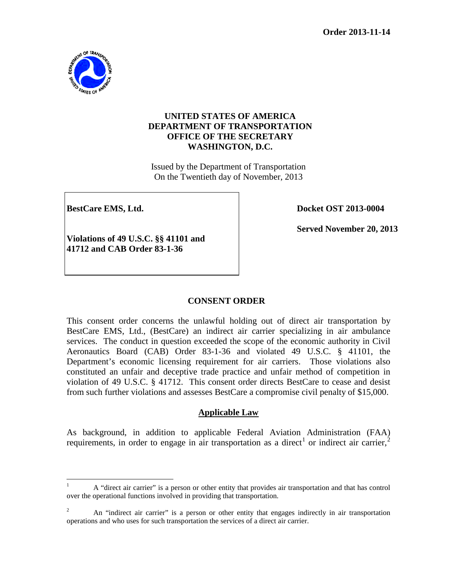

## **UNITED STATES OF AMERICA DEPARTMENT OF TRANSPORTATION OFFICE OF THE SECRETARY WASHINGTON, D.C.**

Issued by the Department of Transportation On the Twentieth day of November, 2013

**BestCare EMS, Ltd. Docket OST 2013-0004** 

**Served November 20, 2013** 

**Violations of 49 U.S.C. §§ 41101 and 41712 and CAB Order 83-1-36**

# **CONSENT ORDER**

This consent order concerns the unlawful holding out of direct air transportation by BestCare EMS, Ltd., (BestCare) an indirect air carrier specializing in air ambulance services. The conduct in question exceeded the scope of the economic authority in Civil Aeronautics Board (CAB) Order 83-1-36 and violated 49 U.S.C. § 41101, the Department's economic licensing requirement for air carriers. Those violations also constituted an unfair and deceptive trade practice and unfair method of competition in violation of 49 U.S.C. § 41712. This consent order directs BestCare to cease and desist from such further violations and assesses BestCare a compromise civil penalty of \$15,000.

# **Applicable Law**

As background, in addition to applicable Federal Aviation Administration (FAA) requirements, in order to engage in air transportation as a direct<sup>[1](#page-0-0)</sup> or indirect air carrier,<sup>[2](#page-0-1)</sup>

<span id="page-0-0"></span><sup>&</sup>lt;sup>1</sup> A "direct air carrier" is a person or other entity that provides air transportation and that has control over the operational functions involved in providing that transportation.

<span id="page-0-1"></span><sup>2</sup> An "indirect air carrier" is a person or other entity that engages indirectly in air transportation operations and who uses for such transportation the services of a direct air carrier.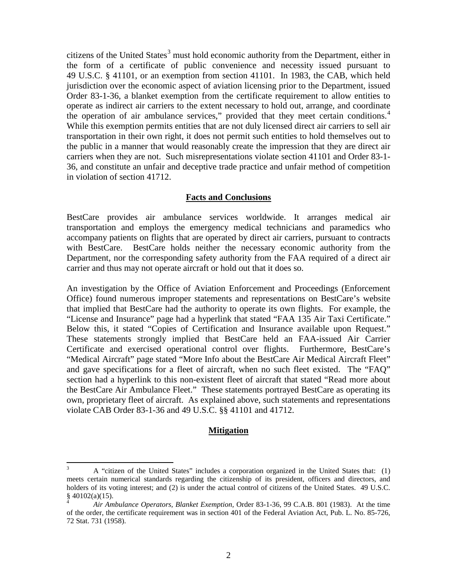citizens of the United States<sup>[3](#page-1-0)</sup> must hold economic authority from the Department, either in the form of a certificate of public convenience and necessity issued pursuant to 49 U.S.C. § 41101, or an exemption from section 41101. In 1983, the CAB, which held jurisdiction over the economic aspect of aviation licensing prior to the Department, issued Order 83-1-36, a blanket exemption from the certificate requirement to allow entities to operate as indirect air carriers to the extent necessary to hold out, arrange, and coordinate the operation of air ambulance services," provided that they meet certain conditions.<sup>[4](#page-1-1)</sup> While this exemption permits entities that are not duly licensed direct air carriers to sell air transportation in their own right, it does not permit such entities to hold themselves out to the public in a manner that would reasonably create the impression that they are direct air carriers when they are not. Such misrepresentations violate section 41101 and Order 83-1- 36, and constitute an unfair and deceptive trade practice and unfair method of competition in violation of section 41712.

### **Facts and Conclusions**

BestCare provides air ambulance services worldwide. It arranges medical air transportation and employs the emergency medical technicians and paramedics who accompany patients on flights that are operated by direct air carriers, pursuant to contracts with BestCare. BestCare holds neither the necessary economic authority from the Department, nor the corresponding safety authority from the FAA required of a direct air carrier and thus may not operate aircraft or hold out that it does so.

An investigation by the Office of Aviation Enforcement and Proceedings (Enforcement Office) found numerous improper statements and representations on BestCare's website that implied that BestCare had the authority to operate its own flights. For example, the "License and Insurance" page had a hyperlink that stated "FAA 135 Air Taxi Certificate." Below this, it stated "Copies of Certification and Insurance available upon Request." These statements strongly implied that BestCare held an FAA-issued Air Carrier Certificate and exercised operational control over flights. Furthermore, BestCare's "Medical Aircraft" page stated "More Info about the BestCare Air Medical Aircraft Fleet" and gave specifications for a fleet of aircraft, when no such fleet existed. The "FAQ" section had a hyperlink to this non-existent fleet of aircraft that stated "Read more about the BestCare Air Ambulance Fleet." These statements portrayed BestCare as operating its own, proprietary fleet of aircraft. As explained above, such statements and representations violate CAB Order 83-1-36 and 49 U.S.C. §§ 41101 and 41712.

### **Mitigation**

<span id="page-1-0"></span><sup>&</sup>lt;sup>3</sup> A "citizen of the United States" includes a corporation organized in the United States that: (1) meets certain numerical standards regarding the citizenship of its president, officers and directors, and holders of its voting interest; and (2) is under the actual control of citizens of the United States. 49 U.S.C.  $\oint_{4}$  40102(a)(15).

<span id="page-1-1"></span>*Air Ambulance Operators, Blanket Exemption,* Order 83-1-36, 99 C.A.B. 801 (1983). At the time of the order, the certificate requirement was in section 401 of the Federal Aviation Act, Pub. L. No. 85-726, 72 Stat. 731 (1958).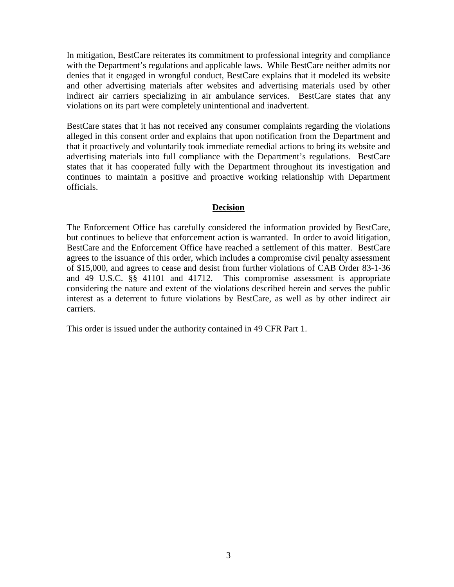In mitigation, BestCare reiterates its commitment to professional integrity and compliance with the Department's regulations and applicable laws. While BestCare neither admits nor denies that it engaged in wrongful conduct, BestCare explains that it modeled its website and other advertising materials after websites and advertising materials used by other indirect air carriers specializing in air ambulance services. BestCare states that any violations on its part were completely unintentional and inadvertent.

BestCare states that it has not received any consumer complaints regarding the violations alleged in this consent order and explains that upon notification from the Department and that it proactively and voluntarily took immediate remedial actions to bring its website and advertising materials into full compliance with the Department's regulations. BestCare states that it has cooperated fully with the Department throughout its investigation and continues to maintain a positive and proactive working relationship with Department officials.

#### **Decision**

The Enforcement Office has carefully considered the information provided by BestCare, but continues to believe that enforcement action is warranted. In order to avoid litigation, BestCare and the Enforcement Office have reached a settlement of this matter. BestCare agrees to the issuance of this order, which includes a compromise civil penalty assessment of \$15,000, and agrees to cease and desist from further violations of CAB Order 83-1-36 and 49 U.S.C. §§ 41101 and 41712. This compromise assessment is appropriate considering the nature and extent of the violations described herein and serves the public interest as a deterrent to future violations by BestCare, as well as by other indirect air carriers.

This order is issued under the authority contained in 49 CFR Part 1.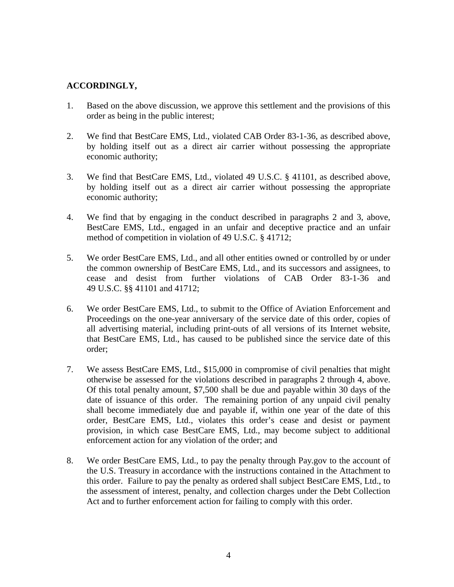# **ACCORDINGLY,**

- 1. Based on the above discussion, we approve this settlement and the provisions of this order as being in the public interest;
- 2. We find that BestCare EMS, Ltd., violated CAB Order 83-1-36, as described above, by holding itself out as a direct air carrier without possessing the appropriate economic authority;
- 3. We find that BestCare EMS, Ltd., violated 49 U.S.C. § 41101, as described above, by holding itself out as a direct air carrier without possessing the appropriate economic authority;
- 4. We find that by engaging in the conduct described in paragraphs 2 and 3, above, BestCare EMS, Ltd., engaged in an unfair and deceptive practice and an unfair method of competition in violation of 49 U.S.C. § 41712;
- 5. We order BestCare EMS, Ltd., and all other entities owned or controlled by or under the common ownership of BestCare EMS, Ltd., and its successors and assignees, to cease and desist from further violations of CAB Order 83-1-36 and 49 U.S.C. §§ 41101 and 41712;
- 6. We order BestCare EMS, Ltd., to submit to the Office of Aviation Enforcement and Proceedings on the one-year anniversary of the service date of this order, copies of all advertising material, including print-outs of all versions of its Internet website, that BestCare EMS, Ltd., has caused to be published since the service date of this order;
- 7. We assess BestCare EMS, Ltd., \$15,000 in compromise of civil penalties that might otherwise be assessed for the violations described in paragraphs 2 through 4, above. Of this total penalty amount, \$7,500 shall be due and payable within 30 days of the date of issuance of this order. The remaining portion of any unpaid civil penalty shall become immediately due and payable if, within one year of the date of this order, BestCare EMS, Ltd., violates this order's cease and desist or payment provision, in which case BestCare EMS, Ltd., may become subject to additional enforcement action for any violation of the order; and
- 8. We order BestCare EMS, Ltd., to pay the penalty through Pay.gov to the account of the U.S. Treasury in accordance with the instructions contained in the Attachment to this order. Failure to pay the penalty as ordered shall subject BestCare EMS, Ltd., to the assessment of interest, penalty, and collection charges under the Debt Collection Act and to further enforcement action for failing to comply with this order.